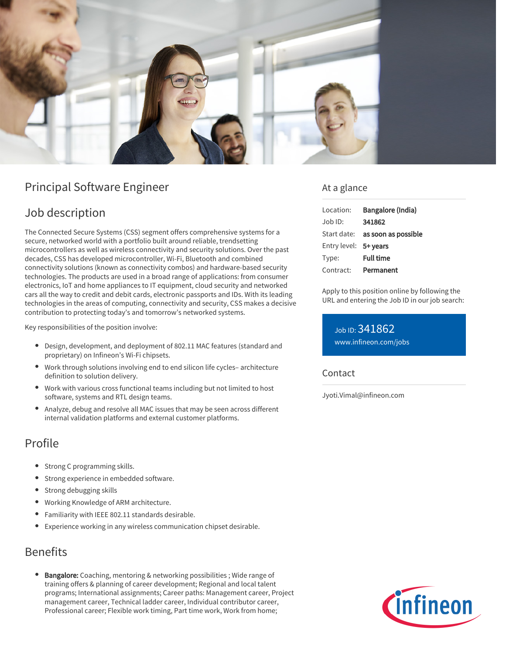

# Principal Software Engineer

# Job description

The Connected Secure Systems (CSS) segment offers comprehensive systems for a secure, networked world with a portfolio built around reliable, trendsetting microcontrollers as well as wireless connectivity and security solutions. Over the past decades, CSS has developed microcontroller, Wi-Fi, Bluetooth and combined connectivity solutions (known as connectivity combos) and hardware-based security technologies. The products are used in a broad range of applications: from consumer electronics, IoT and home appliances to IT equipment, cloud security and networked cars all the way to credit and debit cards, electronic passports and IDs. With its leading technologies in the areas of computing, connectivity and security, CSS makes a decisive contribution to protecting today's and tomorrow's networked systems.

Key responsibilities of the position involve:

- Design, development, and deployment of 802.11 MAC features (standard and proprietary) on Infineon's Wi-Fi chipsets.
- Work through solutions involving end to end silicon life cycles– architecture definition to solution delivery.
- Work with various cross functional teams including but not limited to host software, systems and RTL design teams.
- Analyze, debug and resolve all MAC issues that may be seen across different internal validation platforms and external customer platforms.

# Profile

- Strong C programming skills.
- Strong experience in embedded software.
- Strong debugging skills
- Working Knowledge of ARM architecture.
- Familiarity with IEEE 802.11 standards desirable.
- Experience working in any wireless communication chipset desirable.

## Benefits

Bangalore: Coaching, mentoring & networking possibilities ; Wide range of training offers & planning of career development; Regional and local talent programs; International assignments; Career paths: Management career, Project management career, Technical ladder career, Individual contributor career, Professional career; Flexible work timing, Part time work, Work from home;

### At a glance

| Location:             | Bangalore (India)                      |
|-----------------------|----------------------------------------|
| $Joh$ ID:             | 341862                                 |
|                       | Start date: <b>as soon as possible</b> |
| Entry level: 5+ years |                                        |
| Type:                 | <b>Full time</b>                       |
| Contract:             | Permanent                              |

Apply to this position online by following the URL and entering the Job ID in our job search:

Job ID: 341862 [www.infineon.com/jobs](https://www.infineon.com/jobs)

#### **Contact**

Jyoti.Vimal@infineon.com